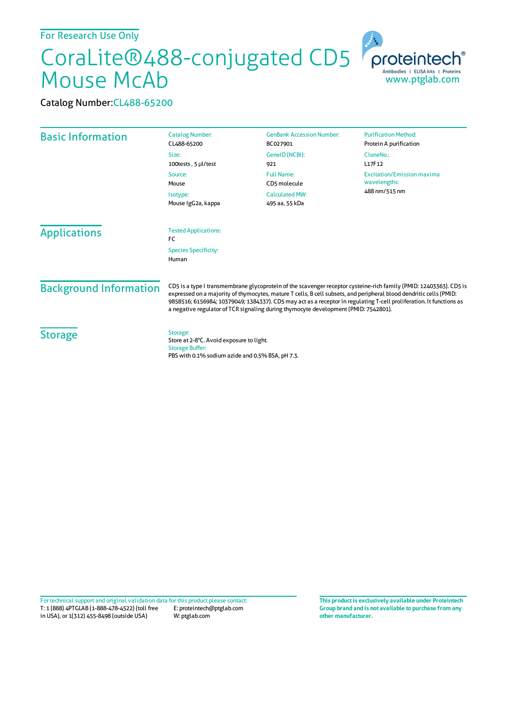## CoraLite®488-conjugated CD5 Mouse McAb

proteintech Antibodies | ELISA kits | Proteins<br>WWW.ptglab.com

Catalog Number:CL488-65200

| <b>Basic Information</b>      | <b>Catalog Number:</b><br>CL488-65200                                                                                                                                                                                                                                                                                                                                                                                                                  | <b>GenBank Accession Number:</b><br>BC027901 | <b>Purification Method:</b><br>Protein A purification              |
|-------------------------------|--------------------------------------------------------------------------------------------------------------------------------------------------------------------------------------------------------------------------------------------------------------------------------------------------------------------------------------------------------------------------------------------------------------------------------------------------------|----------------------------------------------|--------------------------------------------------------------------|
|                               | Size:<br>100tests, 5 µl/test                                                                                                                                                                                                                                                                                                                                                                                                                           | GeneID (NCBI):<br>921                        | CloneNo.:<br>L17F12                                                |
|                               | <b>Full Name:</b><br>Source:<br>CD5 molecule<br>Mouse<br>Isotype:<br>Mouse IgG2a, kappa                                                                                                                                                                                                                                                                                                                                                                |                                              | <b>Excitation/Emission maxima</b><br>wavelengths:<br>488 nm/515 nm |
|                               |                                                                                                                                                                                                                                                                                                                                                                                                                                                        | <b>Calculated MW:</b><br>495 aa, 55 kDa      |                                                                    |
| <b>Applications</b>           | <b>Tested Applications:</b><br>FC                                                                                                                                                                                                                                                                                                                                                                                                                      |                                              |                                                                    |
|                               | <b>Species Specificity:</b><br>Human                                                                                                                                                                                                                                                                                                                                                                                                                   |                                              |                                                                    |
| <b>Background Information</b> | CD5 is a type I transmembrane glycoprotein of the scavenger receptor cysteine-rich family (PMID: 12403363). CD5 is<br>expressed on a majority of thymocytes, mature T cells, B cell subsets, and peripheral blood dendritic cells (PMID:<br>9858516; 6156984; 10379049; 1384337). CD5 may act as a receptor in regulating T-cell proliferation. It functions as<br>a negative regulator of TCR signaling during thymocyte development (PMID: 7542801). |                                              |                                                                    |
| <b>Storage</b>                | Storage:<br>Store at 2-8°C. Avoid exposure to light.<br><b>Storage Buffer:</b><br>PBS with 0.1% sodium azide and 0.5% BSA, pH 7.3.                                                                                                                                                                                                                                                                                                                     |                                              |                                                                    |

T: 1 (888) 4PTGLAB (1-888-478-4522) (toll free in USA), or 1(312) 455-8498 (outside USA) E: proteintech@ptglab.com W: ptglab.com Fortechnical support and original validation data forthis product please contact: **This productis exclusively available under Proteintech**

**Group brand and is not available to purchase from any other manufacturer.**